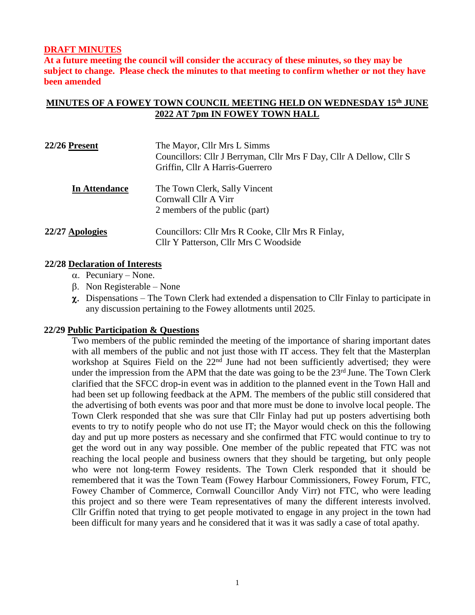## **DRAFT MINUTES**

**At a future meeting the council will consider the accuracy of these minutes, so they may be subject to change. Please check the minutes to that meeting to confirm whether or not they have been amended**

# **MINUTES OF A FOWEY TOWN COUNCIL MEETING HELD ON WEDNESDAY 15th JUNE 2022 AT 7pm IN FOWEY TOWN HALL**

| <b>22/26 Present</b> | The Mayor, Cllr Mrs L Simms<br>Councillors: Cllr J Berryman, Cllr Mrs F Day, Cllr A Dellow, Cllr S<br>Griffin, Cllr A Harris-Guerrero |
|----------------------|---------------------------------------------------------------------------------------------------------------------------------------|
| <b>In Attendance</b> | The Town Clerk, Sally Vincent<br>Cornwall Cllr A Virr<br>2 members of the public (part)                                               |
| 22/27 Apologies      | Councillors: Cllr Mrs R Cooke, Cllr Mrs R Finlay,<br>Cllr Y Patterson, Cllr Mrs C Woodside                                            |

#### **22/28 Declaration of Interests**

- $\alpha$ . Pecuniary None.
- $\beta$ . Non Registerable None
- $\gamma$ . Dispensations The Town Clerk had extended a dispensation to Cllr Finlay to participate in any discussion pertaining to the Fowey allotments until 2025.

#### **22/29 Public Participation & Questions**

Two members of the public reminded the meeting of the importance of sharing important dates with all members of the public and not just those with IT access. They felt that the Masterplan workshop at Squires Field on the 22<sup>nd</sup> June had not been sufficiently advertised; they were under the impression from the APM that the date was going to be the 23<sup>rd</sup> June. The Town Clerk clarified that the SFCC drop-in event was in addition to the planned event in the Town Hall and had been set up following feedback at the APM. The members of the public still considered that the advertising of both events was poor and that more must be done to involve local people. The Town Clerk responded that she was sure that Cllr Finlay had put up posters advertising both events to try to notify people who do not use IT; the Mayor would check on this the following day and put up more posters as necessary and she confirmed that FTC would continue to try to get the word out in any way possible. One member of the public repeated that FTC was not reaching the local people and business owners that they should be targeting, but only people who were not long-term Fowey residents. The Town Clerk responded that it should be remembered that it was the Town Team (Fowey Harbour Commissioners, Fowey Forum, FTC, Fowey Chamber of Commerce, Cornwall Councillor Andy Virr) not FTC, who were leading this project and so there were Team representatives of many the different interests involved. Cllr Griffin noted that trying to get people motivated to engage in any project in the town had been difficult for many years and he considered that it was it was sadly a case of total apathy.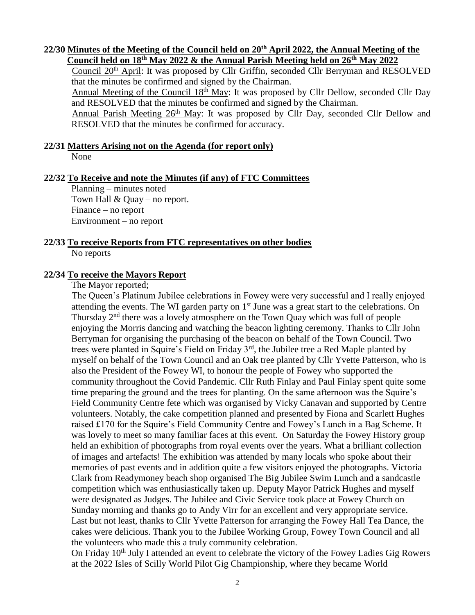## **22/30 Minutes of the Meeting of the Council held on 20 th April 2022, the Annual Meeting of the Council held on 18th May 2022 & the Annual Parish Meeting held on 26th May 2022**

Council 20<sup>th</sup> April: It was proposed by Cllr Griffin, seconded Cllr Berryman and RESOLVED that the minutes be confirmed and signed by the Chairman.

Annual Meeting of the Council 18th May: It was proposed by Cllr Dellow, seconded Cllr Day and RESOLVED that the minutes be confirmed and signed by the Chairman.

Annual Parish Meeting 26<sup>th</sup> May: It was proposed by Cllr Day, seconded Cllr Dellow and RESOLVED that the minutes be confirmed for accuracy.

## **22/31 Matters Arising not on the Agenda (for report only)**

None

## **22/32 To Receive and note the Minutes (if any) of FTC Committees**

Planning – minutes noted Town Hall  $& Quay - no report.$ Finance – no report Environment – no report

## **22/33 To receive Reports from FTC representatives on other bodies** No reports

## **22/34 To receive the Mayors Report**

The Mayor reported;

The Queen's Platinum Jubilee celebrations in Fowey were very successful and I really enjoyed attending the events. The WI garden party on 1<sup>st</sup> June was a great start to the celebrations. On Thursday  $2<sup>nd</sup>$  there was a lovely atmosphere on the Town Quay which was full of people enjoying the Morris dancing and watching the beacon lighting ceremony. Thanks to Cllr John Berryman for organising the purchasing of the beacon on behalf of the Town Council. Two trees were planted in Squire's Field on Friday 3rd, the Jubilee tree a Red Maple planted by myself on behalf of the Town Council and an Oak tree planted by Cllr Yvette Patterson, who is also the President of the Fowey WI, to honour the people of Fowey who supported the community throughout the Covid Pandemic. Cllr Ruth Finlay and Paul Finlay spent quite some time preparing the ground and the trees for planting. On the same afternoon was the Squire's Field Community Centre fete which was organised by Vicky Canavan and supported by Centre volunteers. Notably, the cake competition planned and presented by Fiona and Scarlett Hughes raised £170 for the Squire's Field Community Centre and Fowey's Lunch in a Bag Scheme. It was lovely to meet so many familiar faces at this event. On Saturday the Fowey History group held an exhibition of photographs from royal events over the years. What a brilliant collection of images and artefacts! The exhibition was attended by many locals who spoke about their memories of past events and in addition quite a few visitors enjoyed the photographs. Victoria Clark from Readymoney beach shop organised The Big Jubilee Swim Lunch and a sandcastle competition which was enthusiastically taken up. Deputy Mayor Patrick Hughes and myself were designated as Judges. The Jubilee and Civic Service took place at Fowey Church on Sunday morning and thanks go to Andy Virr for an excellent and very appropriate service. Last but not least, thanks to Cllr Yvette Patterson for arranging the Fowey Hall Tea Dance, the cakes were delicious. Thank you to the Jubilee Working Group, Fowey Town Council and all the volunteers who made this a truly community celebration.

On Friday 10<sup>th</sup> July I attended an event to celebrate the victory of the Fowey Ladies Gig Rowers at the 2022 Isles of Scilly World Pilot Gig Championship, where they became World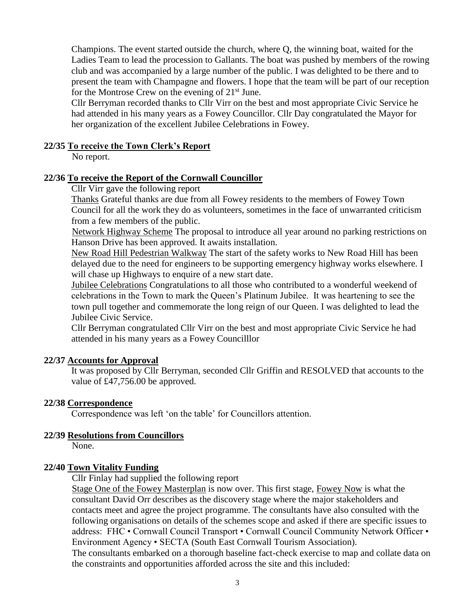Champions. The event started outside the church, where Q, the winning boat, waited for the Ladies Team to lead the procession to Gallants. The boat was pushed by members of the rowing club and was accompanied by a large number of the public. I was delighted to be there and to present the team with Champagne and flowers. I hope that the team will be part of our reception for the Montrose Crew on the evening of  $21<sup>st</sup>$  June.

Cllr Berryman recorded thanks to Cllr Virr on the best and most appropriate Civic Service he had attended in his many years as a Fowey Councillor. Cllr Day congratulated the Mayor for her organization of the excellent Jubilee Celebrations in Fowey.

### **22/35 To receive the Town Clerk's Report**

No report.

#### **22/36 To receive the Report of the Cornwall Councillor**

Cllr Virr gave the following report

Thanks Grateful thanks are due from all Fowey residents to the members of Fowey Town Council for all the work they do as volunteers, sometimes in the face of unwarranted criticism from a few members of the public.

Network Highway Scheme The proposal to introduce all year around no parking restrictions on Hanson Drive has been approved. It awaits installation.

New Road Hill Pedestrian Walkway The start of the safety works to New Road Hill has been delayed due to the need for engineers to be supporting emergency highway works elsewhere. I will chase up Highways to enquire of a new start date.

Jubilee Celebrations Congratulations to all those who contributed to a wonderful weekend of celebrations in the Town to mark the Queen's Platinum Jubilee. It was heartening to see the town pull together and commemorate the long reign of our Queen. I was delighted to lead the Jubilee Civic Service.

Cllr Berryman congratulated Cllr Virr on the best and most appropriate Civic Service he had attended in his many years as a Fowey Councilllor

## **22/37 Accounts for Approval**

It was proposed by Cllr Berryman, seconded Cllr Griffin and RESOLVED that accounts to the value of £47,756.00 be approved.

## **22/38 Correspondence**

Correspondence was left 'on the table' for Councillors attention.

## **22/39 Resolutions from Councillors**

None.

## **22/40 Town Vitality Funding**

Cllr Finlay had supplied the following report

Stage One of the Fowey Masterplan is now over. This first stage, Fowey Now is what the consultant David Orr describes as the discovery stage where the major stakeholders and contacts meet and agree the project programme. The consultants have also consulted with the following organisations on details of the schemes scope and asked if there are specific issues to address: FHC • Cornwall Council Transport • Cornwall Council Community Network Officer • Environment Agency • SECTA (South East Cornwall Tourism Association). The consultants embarked on a thorough baseline fact-check exercise to map and collate data on the constraints and opportunities afforded across the site and this included: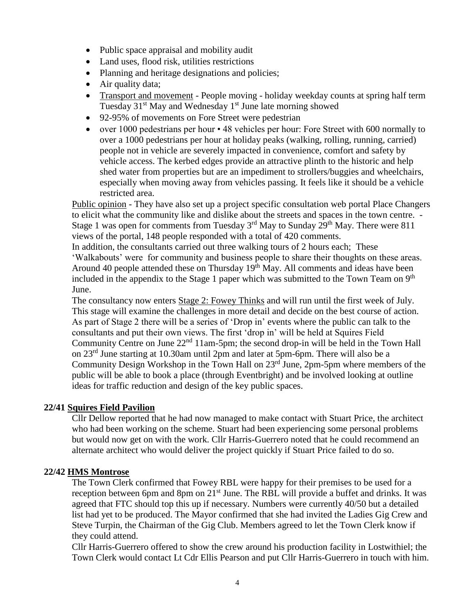- Public space appraisal and mobility audit
- Land uses, flood risk, utilities restrictions
- Planning and heritage designations and policies;
- Air quality data;
- Transport and movement People moving holiday weekday counts at spring half term Tuesday 31<sup>st</sup> May and Wednesday 1<sup>st</sup> June late morning showed
- 92-95% of movements on Fore Street were pedestrian
- over 1000 pedestrians per hour 48 vehicles per hour: Fore Street with 600 normally to over a 1000 pedestrians per hour at holiday peaks (walking, rolling, running, carried) people not in vehicle are severely impacted in convenience, comfort and safety by vehicle access. The kerbed edges provide an attractive plinth to the historic and help shed water from properties but are an impediment to strollers/buggies and wheelchairs, especially when moving away from vehicles passing. It feels like it should be a vehicle restricted area.

Public opinion - They have also set up a project specific consultation web portal Place Changers to elicit what the community like and dislike about the streets and spaces in the town centre. - Stage 1 was open for comments from Tuesday 3<sup>rd</sup> May to Sunday 29<sup>th</sup> May. There were 811 views of the portal, 148 people responded with a total of 420 comments.

In addition, the consultants carried out three walking tours of 2 hours each; These 'Walkabouts' were for community and business people to share their thoughts on these areas. Around 40 people attended these on Thursday 19<sup>th</sup> May. All comments and ideas have been included in the appendix to the Stage 1 paper which was submitted to the Town Team on  $9<sup>th</sup>$ June.

The consultancy now enters Stage 2: Fowey Thinks and will run until the first week of July. This stage will examine the challenges in more detail and decide on the best course of action. As part of Stage 2 there will be a series of 'Drop in' events where the public can talk to the consultants and put their own views. The first 'drop in' will be held at Squires Field Community Centre on June 22<sup>nd</sup> 11am-5pm; the second drop-in will be held in the Town Hall on 23rd June starting at 10.30am until 2pm and later at 5pm-6pm. There will also be a Community Design Workshop in the Town Hall on  $23<sup>rd</sup>$  June, 2pm-5pm where members of the public will be able to book a place (through Eventbright) and be involved looking at outline ideas for traffic reduction and design of the key public spaces.

# **22/41 Squires Field Pavilion**

Cllr Dellow reported that he had now managed to make contact with Stuart Price, the architect who had been working on the scheme. Stuart had been experiencing some personal problems but would now get on with the work. Cllr Harris-Guerrero noted that he could recommend an alternate architect who would deliver the project quickly if Stuart Price failed to do so.

# **22/42 HMS Montrose**

The Town Clerk confirmed that Fowey RBL were happy for their premises to be used for a reception between 6pm and 8pm on 21<sup>st</sup> June. The RBL will provide a buffet and drinks. It was agreed that FTC should top this up if necessary. Numbers were currently 40/50 but a detailed list had yet to be produced. The Mayor confirmed that she had invited the Ladies Gig Crew and Steve Turpin, the Chairman of the Gig Club. Members agreed to let the Town Clerk know if they could attend.

Cllr Harris-Guerrero offered to show the crew around his production facility in Lostwithiel; the Town Clerk would contact Lt Cdr Ellis Pearson and put Cllr Harris-Guerrero in touch with him.